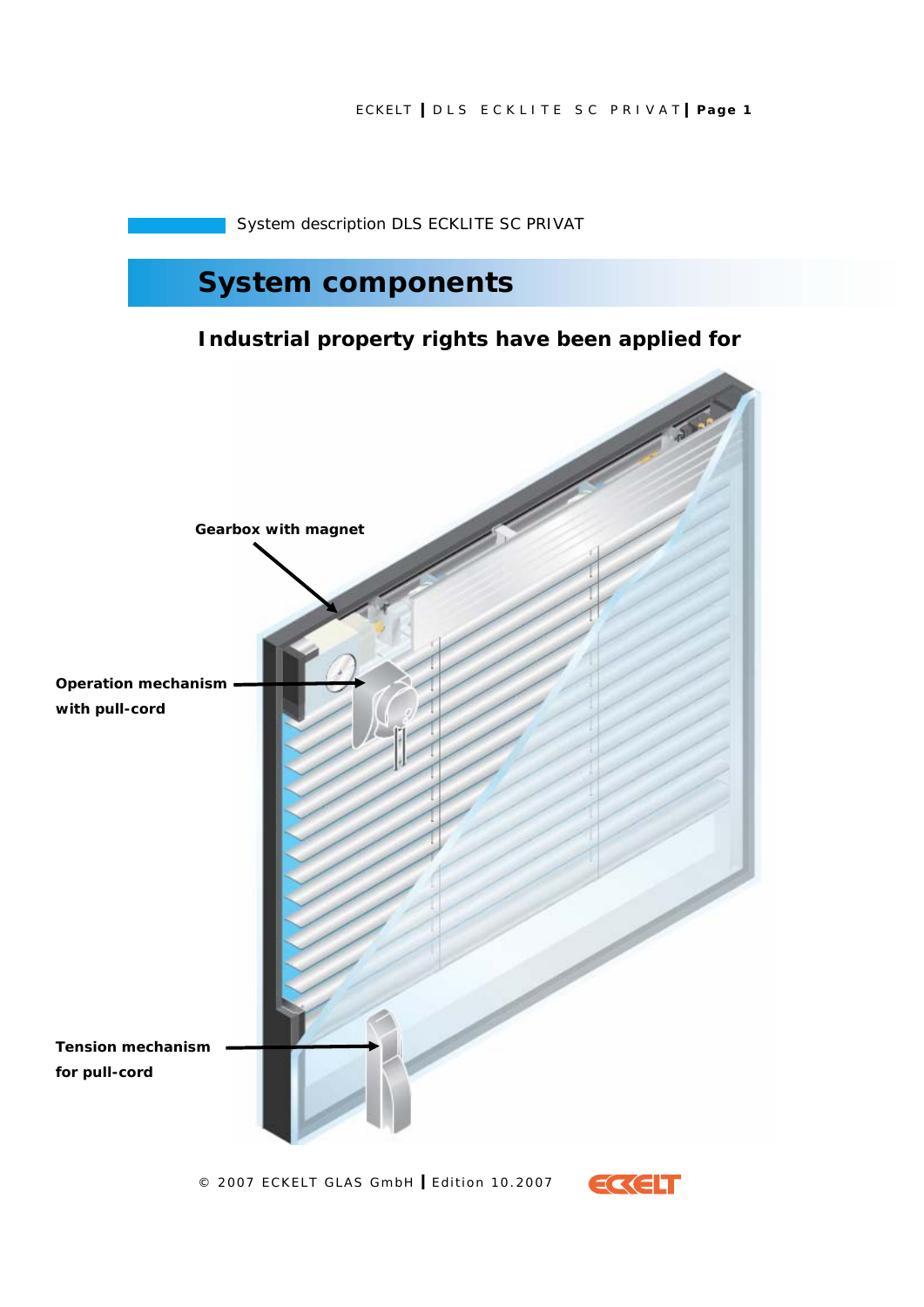## ECKELT **I** DLS ECKLITE SC PRIVAT **I Page 1**

System description DLS ECKLITE SC PRIVAT

# **System components**

## **Industrial property rights have been applied for**



© 2007 ECKELT GLAS GmbH **I** Edition 10.2007

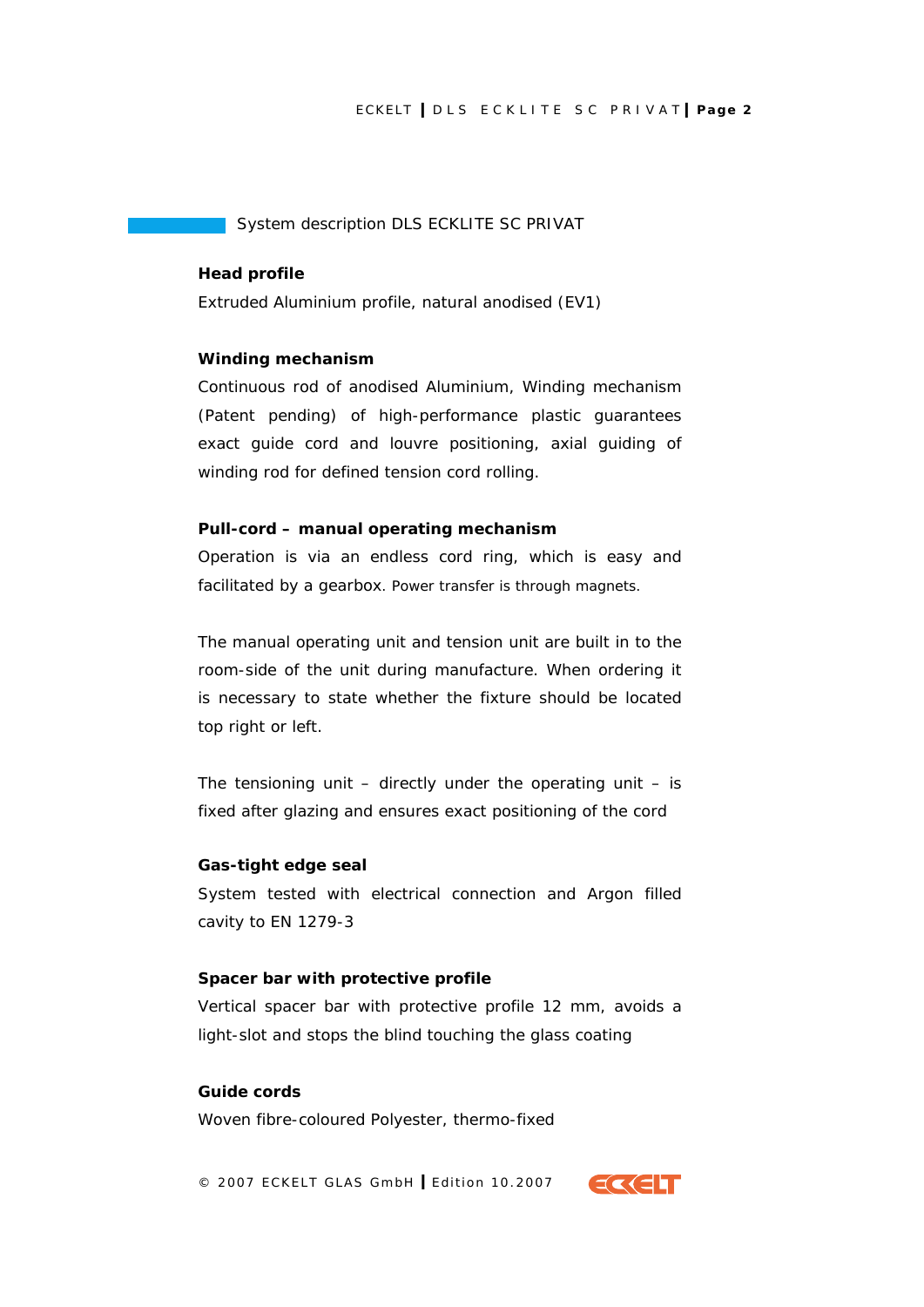#### ECKELT **I** DLS ECKLITE SC PRIVAT **I Page 2**

#### System description DLS ECKLITE SC PRIVAT

#### **Head profile**

Extruded Aluminium profile, natural anodised (EV1)

#### **Winding mechanism**

Continuous rod of anodised Aluminium, Winding mechanism (Patent pending) of high-performance plastic guarantees exact guide cord and louvre positioning, axial guiding of winding rod for defined tension cord rolling.

#### **Pull-cord – manual operating mechanism**

Operation is via an endless cord ring, which is easy and facilitated by a gearbox. Power transfer is through magnets.

The manual operating unit and tension unit are built in to the room-side of the unit during manufacture. When ordering it is necessary to state whether the fixture should be located top right or left.

The tensioning unit  $-$  directly under the operating unit  $-$  is fixed after glazing and ensures exact positioning of the cord

#### **Gas-tight edge seal**

System tested with electrical connection and Argon filled cavity to EN 1279-3

#### **Spacer bar with protective profile**

Vertical spacer bar with protective profile 12 mm, avoids a light-slot and stops the blind touching the glass coating

#### **Guide cords**

Woven fibre-coloured Polyester, thermo-fixed

© 2007 ECKELT GLAS GmbH **I** Edition 10.2007